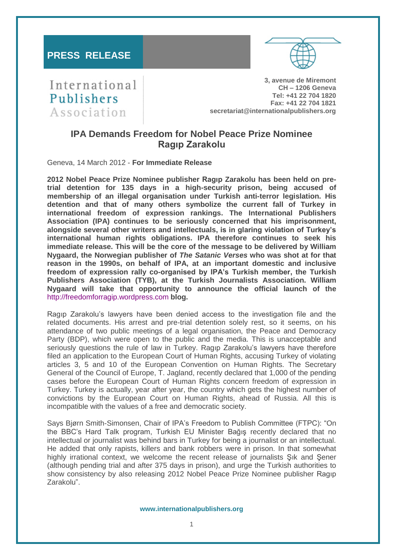# **PRESS RELEASE**



International Publishers Association

**3, avenue de Miremont CH – 1206 Geneva Tel: +41 22 704 1820 Fax: +41 22 704 1821 secretariat@internationalpublishers.org**

# **IPA Demands Freedom for Nobel Peace Prize Nominee Ragıp Zarakolu**

Geneva, 14 March 2012 - **For Immediate Release**

**2012 Nobel Peace Prize Nominee publisher Ragıp Zarakolu has been held on pretrial detention for 135 days in a high-security prison, being accused of membership of an illegal organisation under Turkish anti-terror legislation. His detention and that of many others symbolize the current fall of Turkey in international freedom of expression rankings. The International Publishers Association (IPA) continues to be seriously concerned that his imprisonment, alongside several other writers and intellectuals, is in glaring violation of Turkey's international human rights obligations. IPA therefore continues to seek his immediate release. This will be the core of the message to be delivered by William Nygaard, the Norwegian publisher of** *The Satanic Verses* **who was shot at for that reason in the 1990s, on behalf of IPA, at an important domestic and inclusive freedom of expression rally co-organised by IPA's Turkish member, the Turkish Publishers Association (TYB), at the Turkish Journalists Association. William Nygaard will take that opportunity to announce the official launch of the**  [http://freedomforragip.wordpress.com](http://freedomforragip.wordpress.com/) **blog.**

Ragıp Zarakolu's lawyers have been denied access to the investigation file and the related documents. His arrest and pre-trial detention solely rest, so it seems, on his attendance of two public meetings of a legal organisation, the Peace and Democracy Party (BDP), which were open to the public and the media. This is unacceptable and seriously questions the rule of law in Turkey. Ragıp Zarakolu's lawyers have therefore filed an application to the European Court of Human Rights, accusing Turkey of violating articles 3, 5 and 10 of the European Convention on Human Rights. The Secretary General of the Council of Europe, T. Jagland, recently declared that 1,000 of the pending cases before the European Court of Human Rights concern freedom of expression in Turkey. Turkey is actually, year after year, the country which gets the highest number of convictions by the European Court on Human Rights, ahead of Russia. All this is incompatible with the values of a free and democratic society.

Says Bjørn Smith-Simonsen, Chair of IPA's Freedom to Publish Committee (FTPC): "On the BBC's Hard Talk program, Turkish EU Minister Bağış recently declared that no intellectual or journalist was behind bars in Turkey for being a journalist or an intellectual. He added that only rapists, killers and bank robbers were in prison. In that somewhat highly irrational context, we welcome the recent release of journalists Şık and Şener (although pending trial and after 375 days in prison), and urge the Turkish authorities to show consistency by also releasing 2012 Nobel Peace Prize Nominee publisher Ragıp Zarakolu".